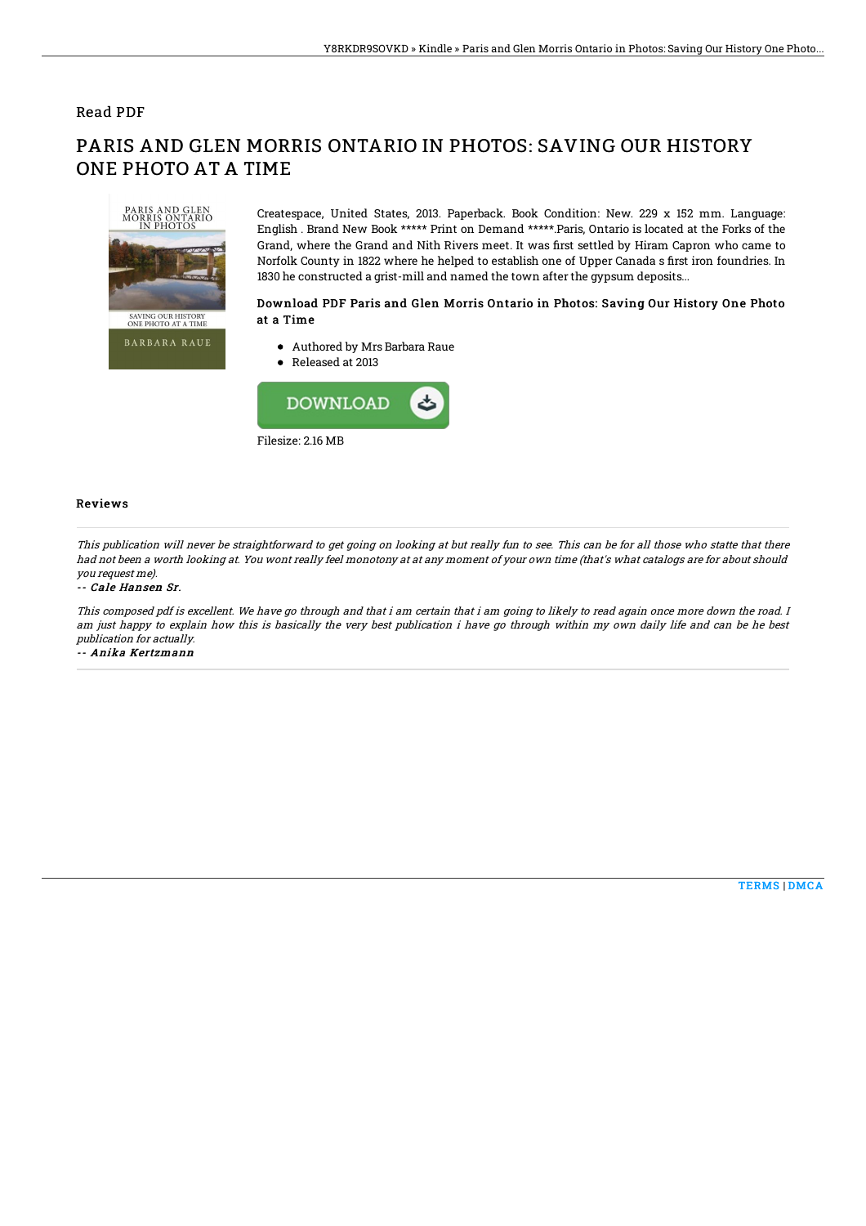# Read PDF

# SAVING OUR HISTORY<br>ONE PHOTO AT A TIME **BARBARA RAUE**

ONE PHOTO AT A TIME

Createspace, United States, 2013. Paperback. Book Condition: New. 229 x 152 mm. Language: English . Brand New Book \*\*\*\*\* Print on Demand \*\*\*\*\*.Paris, Ontario is located at the Forks of the Grand, where the Grand and Nith Rivers meet. It was first settled by Hiram Capron who came to Norfolk County in 1822 where he helped to establish one of Upper Canada s first iron foundries. In 1830 he constructed a grist-mill and named the town after the gypsum deposits...

## Download PDF Paris and Glen Morris Ontario in Photos: Saving Our History One Photo at a Time

Authored by Mrs Barbara Raue

PARIS AND GLEN MORRIS ONTARIO IN PHOTOS: SAVING OUR HISTORY

● Released at 2013



### Reviews

This publication will never be straightforward to get going on looking at but really fun to see. This can be for all those who statte that there had not been <sup>a</sup> worth looking at. You wont really feel monotony at at any moment of your own time (that's what catalogs are for about should you request me).

### -- Cale Hansen Sr.

This composed pdf is excellent. We have go through and that i am certain that i am going to likely to read again once more down the road. I am just happy to explain how this is basically the very best publication i have go through within my own daily life and can be he best publication for actually.

-- Anika Kertzmann